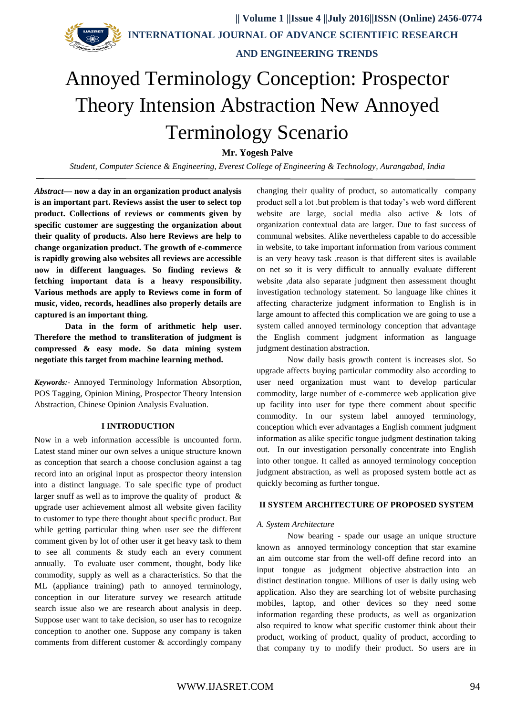**INTERNATIONAL JOURNAL OF ADVANCE SCIENTIFIC RESEARCH AND ENGINEERING TRENDS**

# Annoyed Terminology Conception: Prospector Theory Intension Abstraction New Annoyed Terminology Scenario

**Mr. Yogesh Palve**

*Student, Computer Science & Engineering, Everest College of Engineering & Technology, Aurangabad, India*

*Abstract***— now a day in an organization product analysis is an important part. Reviews assist the user to select top product. Collections of reviews or comments given by specific customer are suggesting the organization about their quality of products. Also here Reviews are help to change organization product. The growth of e-commerce is rapidly growing also websites all reviews are accessible now in different languages. So finding reviews & fetching important data is a heavy responsibility. Various methods are apply to Reviews come in form of music, video, records, headlines also properly details are captured is an important thing.**

**Data in the form of arithmetic help user. Therefore the method to transliteration of judgment is compressed & easy mode. So data mining system negotiate this target from machine learning method.** 

*Keywords:-* Annoyed Terminology Information [Absorption,](http://www.thesaurus.com/browse/absorption) POS Tagging, Opinion Mining, Prospector Theory Intension Abstraction, Chinese Opinion Analysis Evaluation.

#### **I INTRODUCTION**

Now in a web information accessible is uncounted form. Latest stand miner our own selves a unique structure known as conception that search a choose conclusion against a tag record into an original input as prospector theory intension into a distinct language. To sale specific type of product larger snuff as well as to improve the quality of product  $\&$ upgrade user achievement almost all website given facility to customer to type there thought about specific product. But while getting particular thing when user see the different comment given by lot of other user it get heavy task to them to see all comments & study each an every comment annually. To evaluate user comment, thought, body like commodity, supply as well as a characteristics. So that the ML (appliance training) path to annoyed terminology, conception in our literature survey we research attitude search issue also we are research about analysis in deep. Suppose user want to take decision, so user has to recognize conception to another one. Suppose any company is taken comments from different customer & accordingly company

changing their quality of product, so automatically company product sell a lot .but problem is that today's web word different website are large, social media also active & lots of organization contextual data are larger. Due to fast success of communal websites. Alike nevertheless capable to do accessible in website, to take important information from various comment is an very heavy task .reason is that different sites is available on net so it is very difficult to annually evaluate different website ,data also separate judgment then assessment thought investigation technology statement. So language like chines it affecting characterize judgment information to English is in large amount to affected this complication we are going to use a system called annoyed terminology conception that advantage the English comment judgment information as language judgment destination abstraction.

Now daily basis growth content is increases slot. So upgrade affects buying particular commodity also according to user need organization must want to develop particular commodity, large number of e-commerce web application give up facility into user for type there comment about specific commodity. In our system label annoyed terminology, conception which ever advantages a English comment judgment information as alike specific tongue judgment destination taking out. In our investigation personally concentrate into English into other tongue. It called as annoyed terminology conception judgment abstraction, as well as proposed system bottle act as quickly becoming as further tongue.

# **II SYSTEM ARCHITECTURE OF PROPOSED SYSTEM**

#### *A. System Architecture*

Now bearing - spade our usage an unique structure known as annoyed terminology conception that star examine an aim outcome star from the well-off define record into an input tongue as judgment objective abstraction into an distinct destination tongue. Millions of user is daily using web application. Also they are searching lot of website purchasing mobiles, laptop, and other devices so they need some information regarding these products, as well as organization also required to know what specific customer think about their product, working of product, quality of product, according to that company try to modify their product. So users are in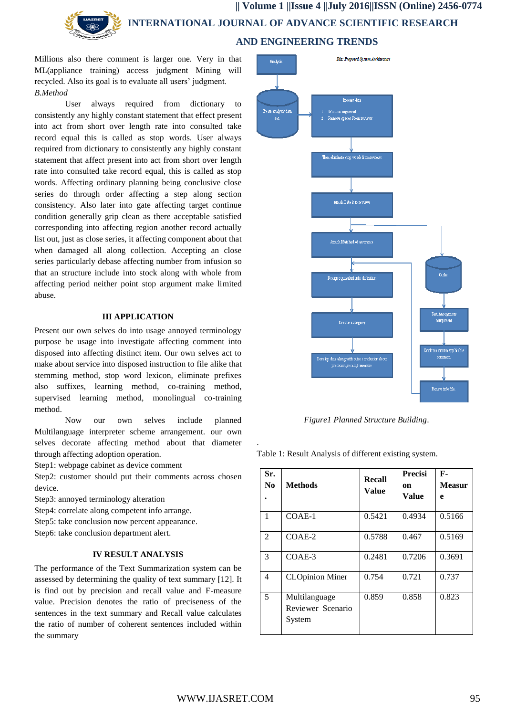**|| Volume 1 ||Issue 4 ||July 2016||ISSN (Online) 2456-0774 INTERNATIONAL JOURNAL OF ADVANCE SCIENTIFIC RESEARCH AND ENGINEERING TRENDS**

Millions also there comment is larger one. Very in that ML(appliance training) access judgment Mining will recycled. Also its goal is to evaluate all users' judgment. *B.Method* 

User always required from dictionary to consistently any highly constant statement that effect present into act from short over length rate into consulted take record equal this is called as stop words. User always required from dictionary to consistently any highly constant statement that affect present into act from short over length rate into consulted take record equal, this is called as stop words. Affecting ordinary planning being conclusive close series do through order affecting a step along section consistency. Also later into gate affecting target continue condition generally grip clean as there acceptable satisfied corresponding into affecting region another record actually list out, just as close series, it affecting component about that when damaged all along collection. Accepting an close series particularly debase affecting number from infusion so that an structure include into stock along with whole from affecting period neither point stop argument make limited abuse.

### **III APPLICATION**

Present our own selves do into usage annoyed terminology purpose be usage into investigate affecting comment into disposed into affecting distinct item. Our own selves act to make about service into disposed instruction to file alike that stemming method, stop word lexicon, eliminate prefixes also suffixes, learning method, co-training method, supervised learning method, monolingual co-training method.

Now our own selves include planned Multilanguage interpreter scheme arrangement. our own selves decorate affecting method about that diameter through affecting adoption operation.

Step1: webpage cabinet as device comment

Step2: customer should put their comments across chosen device.

Step3: annoyed terminology alteration

Step4: correlate along competent info arrange.

Step5: take conclusion now percent appearance.

Step6: take conclusion department alert.

# **IV RESULT ANALYSIS**

The performance of the Text Summarization system can be assessed by determining the quality of text summary [12]. It is find out by precision and recall value and F-measure value. Precision denotes the ratio of preciseness of the sentences in the text summary and Recall value calculates the ratio of number of coherent sentences included within the summary



*Figure1 Planned Structure Building*.

Table 1: Result Analysis of different existing system.

| Sr.<br>N <sub>0</sub> | Methods                                      | Recall<br>Value | Precisi<br>on<br>Value | $F-$<br>Measur<br>e |  |  |
|-----------------------|----------------------------------------------|-----------------|------------------------|---------------------|--|--|
| 1                     | $COAE-1$                                     | 0.5421          | 0.4934                 | 0.5166              |  |  |
| $\mathfrak{D}$        | $COAE-2$                                     | 0.5788          | 0.467                  | 0.5169              |  |  |
| 3                     | COAE-3                                       | 0.2481          | 0.7206                 | 0.3691              |  |  |
| 4                     | <b>CLOpinion Miner</b>                       | 0.754           | 0.721                  | 0.737               |  |  |
| 5                     | Multilanguage<br>Reviewer Scenario<br>System | 0.859           | 0.858                  | 0.823               |  |  |

.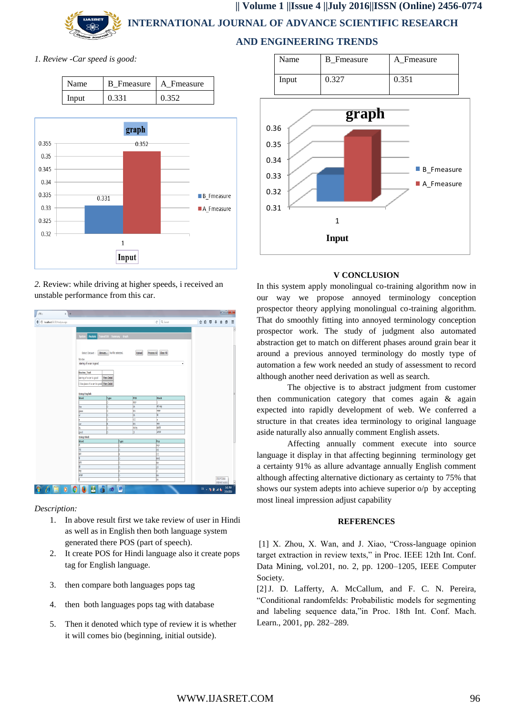**AND ENGINEERING TRENDS**

*1. Review -Car speed is good:*

| Name  |       | B Fmeasure   A Fmeasure |  |  |  |  |  |
|-------|-------|-------------------------|--|--|--|--|--|
| Input | 0.331 | 0.352                   |  |  |  |  |  |



*2.* Review: while driving at higher speeds, i received an unstable performance from this car.

|                                    | $x +$ |                                           |                                               |        |                       |   |                        |  | $-6x$                                |                      |
|------------------------------------|-------|-------------------------------------------|-----------------------------------------------|--------|-----------------------|---|------------------------|--|--------------------------------------|----------------------|
| B localhost55178/Analyze.aspx<br>€ |       |                                           |                                               |        | C Q Seprek            |   | ☆ 自 <sup>■</sup> → A ● |  |                                      | Ξ                    |
|                                    |       |                                           |                                               |        |                       |   |                        |  |                                      | Ø                    |
|                                    |       | Analysis<br>System                        | Trained DS Summary Graph                      |        |                       |   |                        |  |                                      |                      |
|                                    |       |                                           |                                               |        |                       |   |                        |  |                                      |                      |
|                                    |       |                                           |                                               |        |                       |   |                        |  |                                      |                      |
|                                    |       |                                           | Select Dataset :   Browse   No file selected. | Upload | Process All Clear All |   |                        |  |                                      |                      |
|                                    |       | Review                                    |                                               |        |                       |   |                        |  |                                      |                      |
|                                    |       | staring of a car is good                  |                                               |        |                       | ۰ |                        |  |                                      |                      |
|                                    |       |                                           |                                               |        |                       |   |                        |  |                                      |                      |
|                                    |       | Review_Text                               |                                               |        |                       |   |                        |  |                                      |                      |
|                                    |       | staring of a car is good                  | <b>View Detail</b>                            |        |                       |   |                        |  |                                      |                      |
|                                    |       | I like glass of a car its good Wew Detail |                                               |        |                       |   |                        |  |                                      |                      |
|                                    |       |                                           |                                               |        |                       |   |                        |  |                                      |                      |
|                                    |       |                                           |                                               |        |                       |   |                        |  |                                      |                      |
|                                    |       | <b>Using English</b><br>Word              | Type                                          | POS    | Hindi                 |   |                        |  |                                      |                      |
|                                    |       |                                           | b                                             | pgp    |                       |   |                        |  |                                      |                      |
|                                    |       | like                                      | b                                             | ы      | ही तह                 |   |                        |  |                                      |                      |
|                                    |       | glass                                     | b.                                            | w      | Pitter                |   |                        |  |                                      |                      |
|                                    |       | Ŀ                                         | b                                             | Ы      | 旨                     |   |                        |  |                                      |                      |
|                                    |       | b                                         | b                                             | lос    | ь                     |   |                        |  |                                      |                      |
|                                    |       | <b>Jar</b>                                | e                                             | hn     | 橛                     |   |                        |  |                                      |                      |
|                                    |       | k                                         | b                                             | PRPS   | sett                  |   |                        |  |                                      |                      |
|                                    |       | good                                      | b                                             | Ь      | $-850$                |   |                        |  |                                      |                      |
|                                    |       | <b>Using Hindi</b><br>Word                | Type                                          |        | Pos                   |   |                        |  |                                      |                      |
|                                    |       | 놓                                         | ь                                             |        | pgp                   |   |                        |  |                                      |                      |
|                                    |       |                                           |                                               |        |                       |   |                        |  |                                      |                      |
|                                    |       | $\frac{1}{\sqrt{2}}$                      | b                                             |        |                       |   |                        |  |                                      |                      |
|                                    |       | 嗣                                         | ь                                             |        | VB<br>loc             |   |                        |  |                                      |                      |
|                                    |       | F                                         | b                                             |        | NNS <sub></sub>       |   |                        |  |                                      |                      |
|                                    |       | 厢                                         | b                                             |        | NN                    |   |                        |  |                                      |                      |
|                                    |       | 둛                                         | b                                             |        | is                    |   |                        |  |                                      |                      |
|                                    |       | k                                         | b                                             |        | b                     |   |                        |  |                                      |                      |
|                                    |       | अच्छा                                     | b                                             |        | NN                    |   |                        |  |                                      |                      |
|                                    |       |                                           | b                                             |        | bV.                   |   |                        |  | <b>ITDEPT2016</b><br>Internet access | $\overline{\bullet}$ |

*Description:*

- 1. In above result first we take review of user in Hindi as well as in English then both language system generated there POS (part of speech).
- 2. It create POS for Hindi language also it create pops tag for English language.
- 3. then compare both languages pops tag
- 4. then both languages pops tag with database
- 5. Then it denoted which type of review it is whether it will comes bio (beginning, initial outside).

| Name  | <b>B</b> Fmeasure | A Fmeasure |  |  |  |  |
|-------|-------------------|------------|--|--|--|--|
| Input | า 327             | 0.351      |  |  |  |  |



# **V CONCLUSION**

In this system apply monolingual co-training algorithm now in our way we propose annoyed terminology conception prospector theory applying monolingual co-training algorithm. That do smoothly fitting into annoyed terminology conception prospector work. The study of judgment also automated abstraction get to match on different phases around grain bear it around a previous annoyed terminology do mostly type of automation a few work needed an study of assessment to record although another need derivation as well as search.

The objective is to abstract judgment from customer then communication category that comes again & again expected into rapidly development of web. We conferred a structure in that creates idea terminology to original language aside naturally also annually comment English assets.

Affecting annually comment execute into source language it display in that affecting beginning terminology get a certainty 91% as allure advantage annually English comment although affecting alternative dictionary as certainty to 75% that shows our system adepts into achieve superior o/p by accepting most lineal impression adjust capability

# **REFERENCES**

[1] X. Zhou, X. Wan, and J. Xiao, "Cross-language opinion target extraction in review texts," in Proc. IEEE 12th Int. Conf. Data Mining, vol.201, no. 2, pp. 1200–1205, IEEE Computer Society.

[2]J. D. Lafferty, A. McCallum, and F. C. N. Pereira, "Conditional randomfelds: Probabilistic models for segmenting and labeling sequence data,"in Proc. 18th Int. Conf. Mach. Learn., 2001, pp. 282–289.